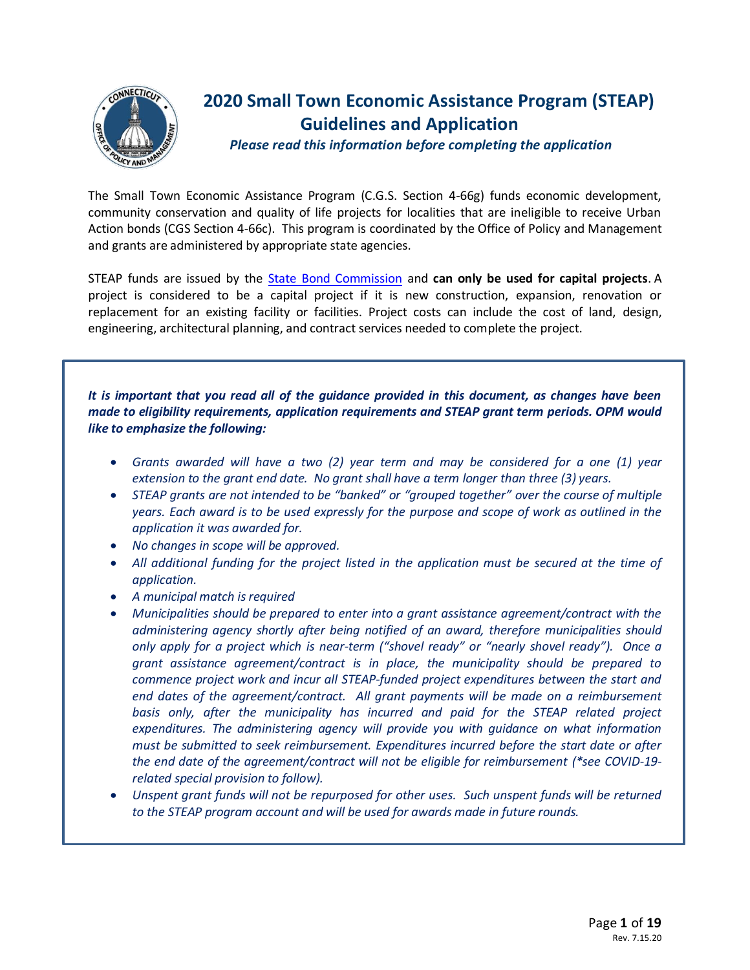

# **ONNECTICLE** 2020 Small Town Economic Assistance Program (STEAP)  **Guidelines and Application**

 *Please read this information before completing the application*

The Small Town Economic Assistance Program (C.G.S. Section 4-66g) funds economic development, community conservation and quality of life projects for localities that are ineligible to receive Urban Action bonds (CGS Section 4-66c). This program is coordinated by the Office of Policy and Management and grants are administered by appropriate state agencies.

STEAP funds are issued by the [State Bond Commission](http://www.ct.gov/opm/cwp/view.asp?a=3010&Q=382918&opmNav_GID=1793) and **can only be used for capital projects**. A project is considered to be a capital project if it is new construction, expansion, renovation or replacement for an existing facility or facilities. Project costs can include the cost of land, design, engineering, architectural planning, and contract services needed to complete the project.

*It is important that you read all of the guidance provided in this document, as changes have been made to eligibility requirements, application requirements and STEAP grant term periods. OPM would like to emphasize the following:*

- *Grants awarded will have a two (2) year term and may be considered for a one (1) year extension to the grant end date. No grant shall have a term longer than three (3) years.*
- *STEAP grants are not intended to be "banked" or "grouped together" over the course of multiple years. Each award is to be used expressly for the purpose and scope of work as outlined in the application it was awarded for.*
- *No changes in scope will be approved.*
- *All additional funding for the project listed in the application must be secured at the time of application.*
- *A municipal match is required*
- *Municipalities should be prepared to enter into a grant assistance agreement/contract with the administering agency shortly after being notified of an award, therefore municipalities should only apply for a project which is near-term ("shovel ready" or "nearly shovel ready"). Once a grant assistance agreement/contract is in place, the municipality should be prepared to commence project work and incur all STEAP-funded project expenditures between the start and end dates of the agreement/contract. All grant payments will be made on a reimbursement basis only, after the municipality has incurred and paid for the STEAP related project expenditures. The administering agency will provide you with guidance on what information must be submitted to seek reimbursement. Expenditures incurred before the start date or after the end date of the agreement/contract will not be eligible for reimbursement (\*see COVID-19 related special provision to follow).*
- *Unspent grant funds will not be repurposed for other uses. Such unspent funds will be returned to the STEAP program account and will be used for awards made in future rounds.*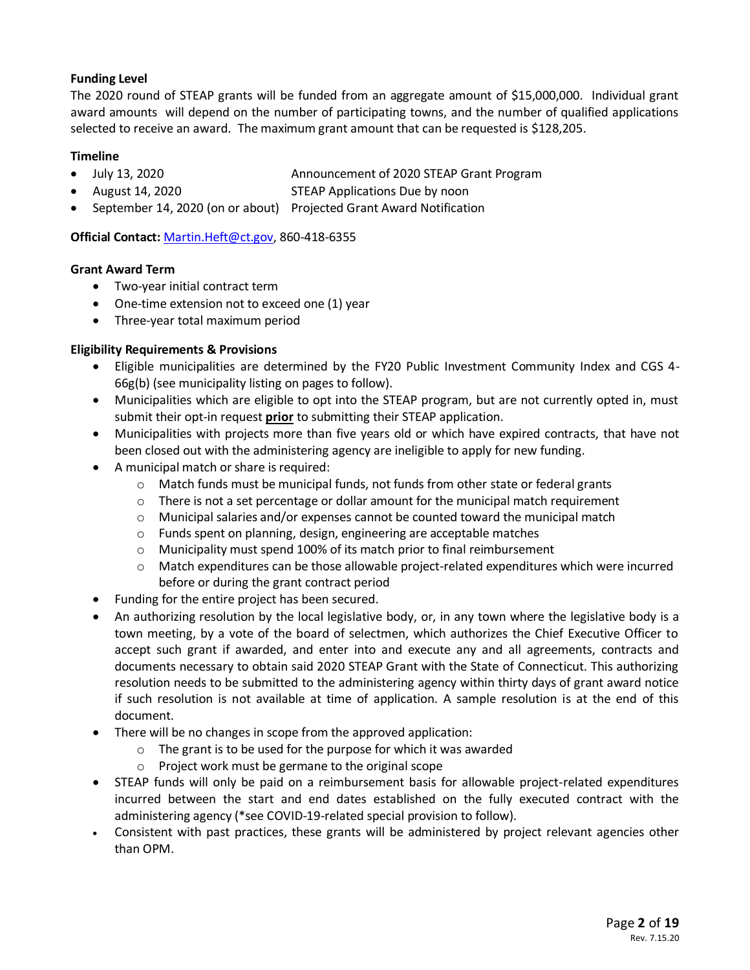### **Funding Level**

The 2020 round of STEAP grants will be funded from an aggregate amount of \$15,000,000. Individual grant award amounts will depend on the number of participating towns, and the number of qualified applications selected to receive an award. The maximum grant amount that can be requested is \$128,205.

#### **Timeline**

- July 13, 2020 Announcement of 2020 STEAP Grant Program
- August 14, 2020 STEAP Applications Due by noon
- September 14, 2020 (on or about) Projected Grant Award Notification

**Official Contact:** [Martin.Heft@ct.gov,](mailto:Martin.Heft@ct.gov) 860-418-6355

#### **Grant Award Term**

- Two-year initial contract term
- One-time extension not to exceed one (1) year
- Three-year total maximum period

#### **Eligibility Requirements & Provisions**

- Eligible municipalities are determined by the FY20 Public Investment Community Index and CGS 4- 66g(b) (see municipality listing on pages to follow).
- Municipalities which are eligible to opt into the STEAP program, but are not currently opted in, must submit their opt-in request **prior** to submitting their STEAP application.
- Municipalities with projects more than five years old or which have expired contracts, that have not been closed out with the administering agency are ineligible to apply for new funding.
- A municipal match or share is required:
	- $\circ$  Match funds must be municipal funds, not funds from other state or federal grants
	- $\circ$  There is not a set percentage or dollar amount for the municipal match requirement
	- $\circ$  Municipal salaries and/or expenses cannot be counted toward the municipal match
	- $\circ$  Funds spent on planning, design, engineering are acceptable matches
	- o Municipality must spend 100% of its match prior to final reimbursement
	- o Match expenditures can be those allowable project-related expenditures which were incurred before or during the grant contract period
- Funding for the entire project has been secured.
- An authorizing resolution by the local legislative body, or, in any town where the legislative body is a town meeting, by a vote of the board of selectmen, which authorizes the Chief Executive Officer to accept such grant if awarded, and enter into and execute any and all agreements, contracts and documents necessary to obtain said 2020 STEAP Grant with the State of Connecticut. This authorizing resolution needs to be submitted to the administering agency within thirty days of grant award notice if such resolution is not available at time of application. A sample resolution is at the end of this document.
- There will be no changes in scope from the approved application:
	- o The grant is to be used for the purpose for which it was awarded
	- o Project work must be germane to the original scope
- STEAP funds will only be paid on a reimbursement basis for allowable project-related expenditures incurred between the start and end dates established on the fully executed contract with the administering agency (\*see COVID-19-related special provision to follow).
- Consistent with past practices, these grants will be administered by project relevant agencies other than OPM.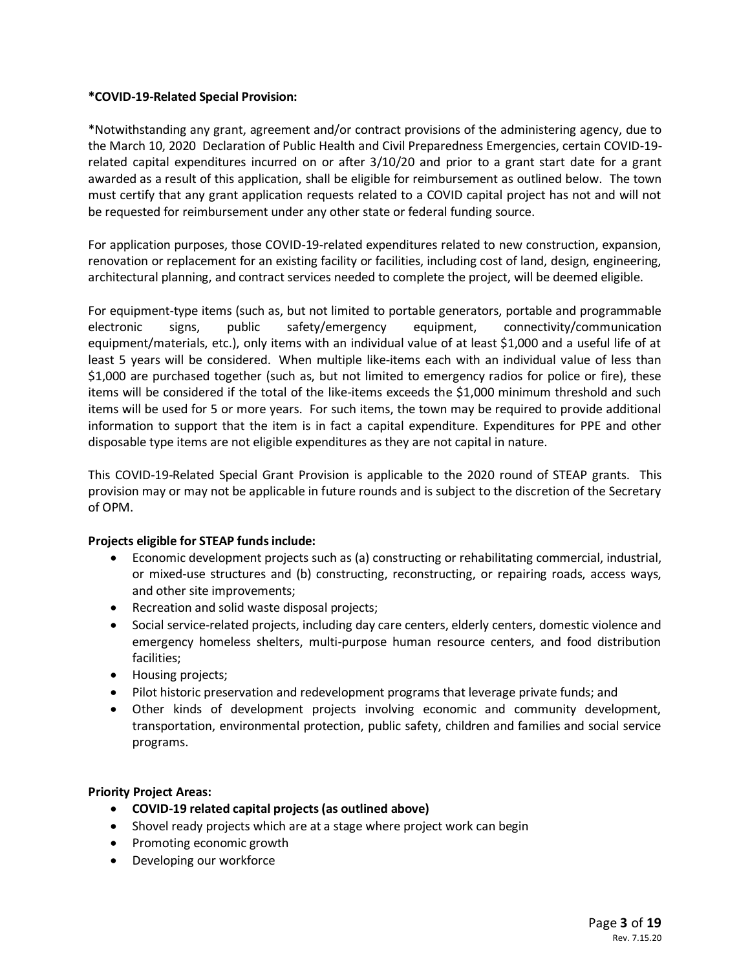#### **\*COVID-19-Related Special Provision:**

\*Notwithstanding any grant, agreement and/or contract provisions of the administering agency, due to the March 10, 2020 Declaration of Public Health and Civil Preparedness Emergencies, certain COVID-19 related capital expenditures incurred on or after 3/10/20 and prior to a grant start date for a grant awarded as a result of this application, shall be eligible for reimbursement as outlined below. The town must certify that any grant application requests related to a COVID capital project has not and will not be requested for reimbursement under any other state or federal funding source.

For application purposes, those COVID-19-related expenditures related to new construction, expansion, renovation or replacement for an existing facility or facilities, including cost of land, design, engineering, architectural planning, and contract services needed to complete the project, will be deemed eligible.

For equipment-type items (such as, but not limited to portable generators, portable and programmable electronic signs, public safety/emergency equipment, connectivity/communication equipment/materials, etc.), only items with an individual value of at least \$1,000 and a useful life of at least 5 years will be considered. When multiple like-items each with an individual value of less than \$1,000 are purchased together (such as, but not limited to emergency radios for police or fire), these items will be considered if the total of the like-items exceeds the \$1,000 minimum threshold and such items will be used for 5 or more years. For such items, the town may be required to provide additional information to support that the item is in fact a capital expenditure. Expenditures for PPE and other disposable type items are not eligible expenditures as they are not capital in nature.

This COVID-19-Related Special Grant Provision is applicable to the 2020 round of STEAP grants. This provision may or may not be applicable in future rounds and is subject to the discretion of the Secretary of OPM.

#### **Projects eligible for STEAP funds include:**

- Economic development projects such as (a) constructing or rehabilitating commercial, industrial, or mixed-use structures and (b) constructing, reconstructing, or repairing roads, access ways, and other site improvements;
- Recreation and solid waste disposal projects;
- Social service-related projects, including day care centers, elderly centers, domestic violence and emergency homeless shelters, multi-purpose human resource centers, and food distribution facilities;
- Housing projects;
- Pilot historic preservation and redevelopment programs that leverage private funds; and
- Other kinds of development projects involving economic and community development, transportation, environmental protection, public safety, children and families and social service programs.

#### **Priority Project Areas:**

- **COVID-19 related capital projects(as outlined above)**
- Shovel ready projects which are at a stage where project work can begin
- Promoting economic growth
- Developing our workforce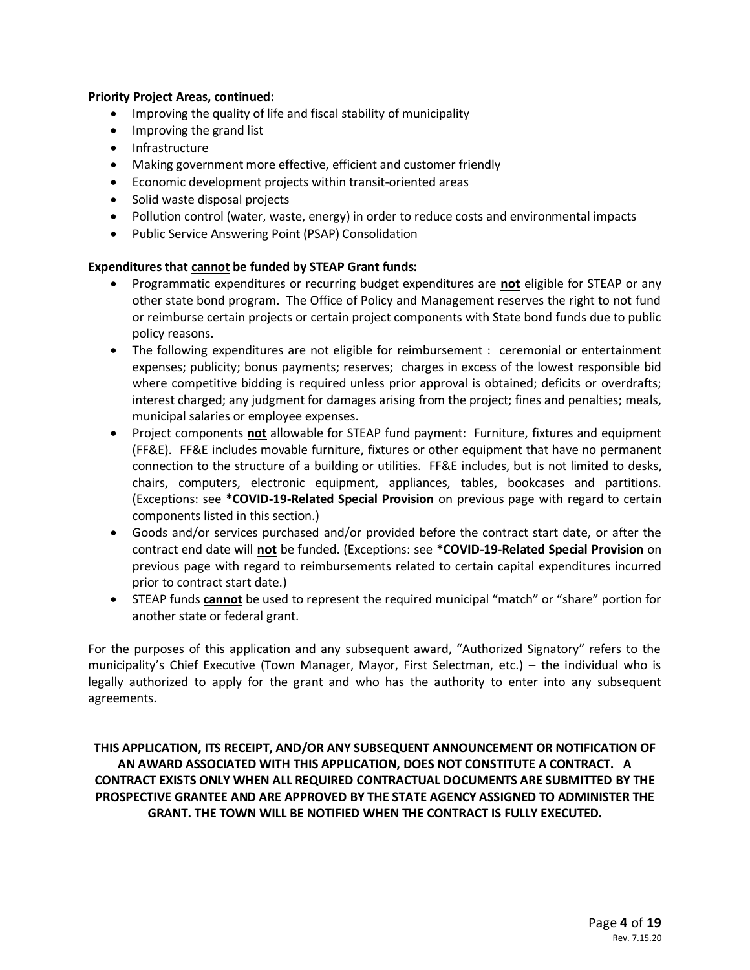#### **Priority Project Areas, continued:**

- Improving the quality of life and fiscal stability of municipality
- Improving the grand list
- Infrastructure
- Making government more effective, efficient and customer friendly
- Economic development projects within transit-oriented areas
- Solid waste disposal projects
- Pollution control (water, waste, energy) in order to reduce costs and environmental impacts
- Public Service Answering Point (PSAP) Consolidation

#### **Expenditures that cannot be funded by STEAP Grant funds:**

- Programmatic expenditures or recurring budget expenditures are **not** eligible for STEAP or any other state bond program. The Office of Policy and Management reserves the right to not fund or reimburse certain projects or certain project components with State bond funds due to public policy reasons.
- The following expenditures are not eligible for reimbursement : ceremonial or entertainment expenses; publicity; bonus payments; reserves; charges in excess of the lowest responsible bid where competitive bidding is required unless prior approval is obtained; deficits or overdrafts; interest charged; any judgment for damages arising from the project; fines and penalties; meals, municipal salaries or employee expenses.
- Project components **not** allowable for STEAP fund payment: Furniture, fixtures and equipment (FF&E). FF&E includes movable furniture, fixtures or other equipment that have no permanent connection to the structure of a building or utilities. FF&E includes, but is not limited to desks, chairs, computers, electronic equipment, appliances, tables, bookcases and partitions. (Exceptions: see **\*COVID-19-Related Special Provision** on previous page with regard to certain components listed in this section.)
- Goods and/or services purchased and/or provided before the contract start date, or after the contract end date will **not** be funded. (Exceptions: see **\*COVID-19-Related Special Provision** on previous page with regard to reimbursements related to certain capital expenditures incurred prior to contract start date.)
- STEAP funds **cannot** be used to represent the required municipal "match" or "share" portion for another state or federal grant.

For the purposes of this application and any subsequent award, "Authorized Signatory" refers to the municipality's Chief Executive (Town Manager, Mayor, First Selectman, etc.) – the individual who is legally authorized to apply for the grant and who has the authority to enter into any subsequent agreements.

### **THIS APPLICATION, ITS RECEIPT, AND/OR ANY SUBSEQUENT ANNOUNCEMENT OR NOTIFICATION OF AN AWARD ASSOCIATED WITH THIS APPLICATION, DOES NOT CONSTITUTE A CONTRACT. A CONTRACT EXISTS ONLY WHEN ALL REQUIRED CONTRACTUAL DOCUMENTS ARE SUBMITTED BY THE PROSPECTIVE GRANTEE AND ARE APPROVED BY THE STATE AGENCY ASSIGNED TO ADMINISTER THE GRANT. THE TOWN WILL BE NOTIFIED WHEN THE CONTRACT IS FULLY EXECUTED.**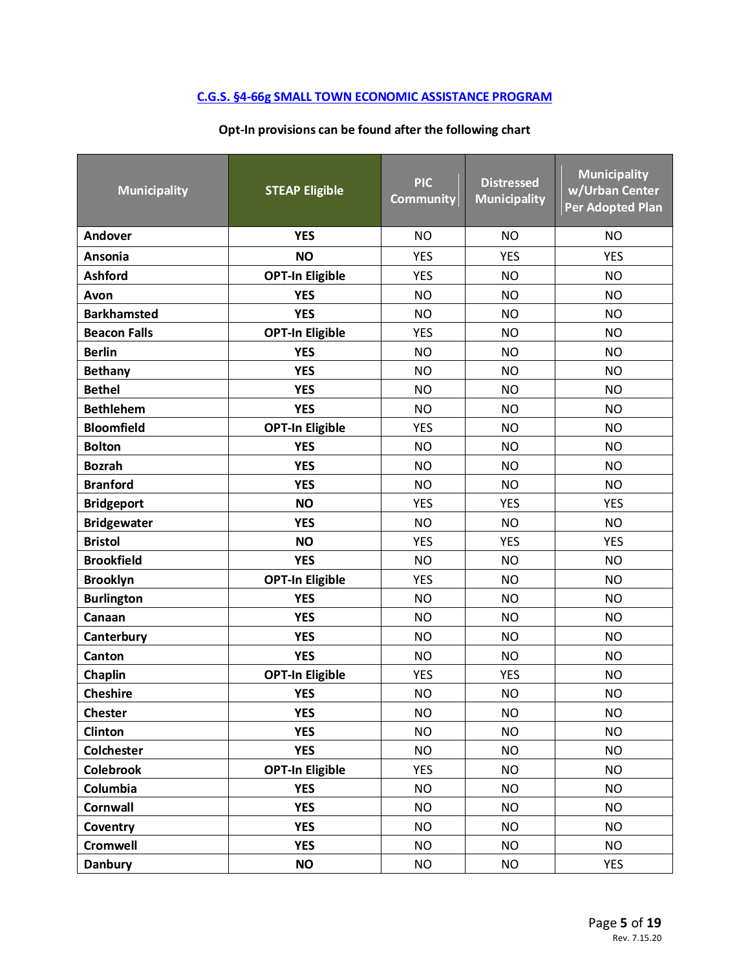# **[C.G.S. §4-66g SMALL TOWN ECONOMIC ASSISTANCE PROGRAM](https://cga.ct.gov/current/pub/chap_050.htm#sec_4-66g)**

### **Opt-In provisions can be found after the following chart**

| <b>Municipality</b> | <b>STEAP Eligible</b>  | <b>PIC</b><br><b>Community</b> | <b>Municipality</b><br>w/Urban Center<br><b>Per Adopted Plan</b> |            |  |  |  |
|---------------------|------------------------|--------------------------------|------------------------------------------------------------------|------------|--|--|--|
| Andover             | <b>YES</b>             | <b>NO</b>                      | <b>NO</b>                                                        | <b>NO</b>  |  |  |  |
| Ansonia             | <b>NO</b>              | <b>YES</b>                     | <b>YES</b>                                                       | <b>YES</b> |  |  |  |
| <b>Ashford</b>      | <b>OPT-In Eligible</b> | <b>YES</b>                     | <b>NO</b>                                                        | <b>NO</b>  |  |  |  |
| Avon                | <b>YES</b>             | <b>NO</b>                      | <b>NO</b>                                                        | <b>NO</b>  |  |  |  |
| <b>Barkhamsted</b>  | <b>YES</b>             | <b>NO</b>                      | <b>NO</b>                                                        | <b>NO</b>  |  |  |  |
| <b>Beacon Falls</b> | <b>OPT-In Eligible</b> | <b>YES</b>                     | <b>NO</b>                                                        | <b>NO</b>  |  |  |  |
| <b>Berlin</b>       | <b>YES</b>             | <b>NO</b>                      | <b>NO</b>                                                        | <b>NO</b>  |  |  |  |
| <b>Bethany</b>      | <b>YES</b>             | <b>NO</b>                      | <b>NO</b>                                                        | <b>NO</b>  |  |  |  |
| <b>Bethel</b>       | <b>YES</b>             | <b>NO</b>                      | <b>NO</b>                                                        | <b>NO</b>  |  |  |  |
| <b>Bethlehem</b>    | <b>YES</b>             | <b>NO</b>                      | <b>NO</b>                                                        | <b>NO</b>  |  |  |  |
| <b>Bloomfield</b>   | <b>OPT-In Eligible</b> | <b>YES</b>                     | <b>NO</b>                                                        | <b>NO</b>  |  |  |  |
| <b>Bolton</b>       | <b>YES</b>             | <b>NO</b>                      | <b>NO</b>                                                        | <b>NO</b>  |  |  |  |
| <b>Bozrah</b>       | <b>YES</b>             | <b>NO</b>                      | <b>NO</b>                                                        | <b>NO</b>  |  |  |  |
| <b>Branford</b>     | <b>YES</b>             | <b>NO</b>                      | <b>NO</b>                                                        | <b>NO</b>  |  |  |  |
| <b>Bridgeport</b>   | <b>NO</b>              | <b>YES</b>                     | <b>YES</b>                                                       | <b>YES</b> |  |  |  |
| <b>Bridgewater</b>  | <b>YES</b>             | <b>NO</b>                      | <b>NO</b>                                                        | <b>NO</b>  |  |  |  |
| <b>Bristol</b>      | <b>NO</b>              | <b>YES</b>                     | <b>YES</b>                                                       | <b>YES</b> |  |  |  |
| <b>Brookfield</b>   | <b>YES</b>             | <b>NO</b>                      | <b>NO</b>                                                        | <b>NO</b>  |  |  |  |
| <b>Brooklyn</b>     | <b>OPT-In Eligible</b> | <b>YES</b>                     | <b>NO</b>                                                        | <b>NO</b>  |  |  |  |
| <b>Burlington</b>   | <b>YES</b>             | <b>NO</b>                      | <b>NO</b>                                                        | <b>NO</b>  |  |  |  |
| Canaan              | <b>YES</b>             | <b>NO</b>                      | <b>NO</b>                                                        | <b>NO</b>  |  |  |  |
| Canterbury          | <b>YES</b>             | <b>NO</b>                      | <b>NO</b>                                                        | <b>NO</b>  |  |  |  |
| Canton              | <b>YES</b>             | <b>NO</b>                      | <b>NO</b>                                                        | <b>NO</b>  |  |  |  |
| Chaplin             | <b>OPT-In Eligible</b> | <b>YES</b>                     | <b>YES</b>                                                       | <b>NO</b>  |  |  |  |
| <b>Cheshire</b>     | <b>YES</b>             | <b>NO</b>                      | <b>NO</b>                                                        | <b>NO</b>  |  |  |  |
| <b>Chester</b>      | <b>YES</b>             | <b>NO</b>                      | <b>NO</b>                                                        | <b>NO</b>  |  |  |  |
| Clinton             | <b>YES</b>             | <b>NO</b>                      | <b>NO</b>                                                        | <b>NO</b>  |  |  |  |
| <b>Colchester</b>   | <b>YES</b>             | <b>NO</b>                      | <b>NO</b>                                                        | <b>NO</b>  |  |  |  |
| <b>Colebrook</b>    | <b>OPT-In Eligible</b> | <b>YES</b>                     | <b>NO</b>                                                        | <b>NO</b>  |  |  |  |
| Columbia            | <b>YES</b>             | <b>NO</b>                      | <b>NO</b>                                                        | <b>NO</b>  |  |  |  |
| <b>Cornwall</b>     | <b>YES</b>             | <b>NO</b>                      | <b>NO</b>                                                        | <b>NO</b>  |  |  |  |
| Coventry            | <b>YES</b>             | <b>NO</b>                      | <b>NO</b>                                                        | <b>NO</b>  |  |  |  |
| <b>Cromwell</b>     | <b>YES</b>             | <b>NO</b>                      | <b>NO</b>                                                        | <b>NO</b>  |  |  |  |
| <b>Danbury</b>      | <b>NO</b>              | <b>NO</b>                      | <b>NO</b>                                                        | <b>YES</b> |  |  |  |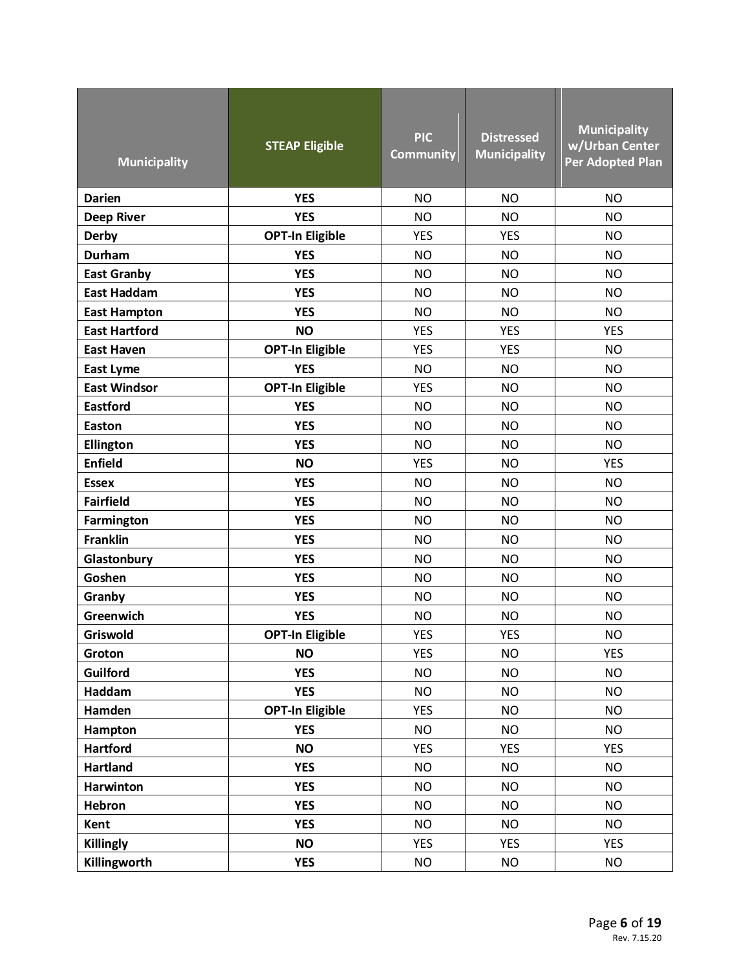| <b>Municipality</b>  | <b>STEAP Eligible</b>  | <b>PIC</b><br><b>Community</b> | <b>Distressed</b><br><b>Municipality</b> | <b>Municipality</b><br>w/Urban Center<br><b>Per Adopted Plan</b> |
|----------------------|------------------------|--------------------------------|------------------------------------------|------------------------------------------------------------------|
| <b>Darien</b>        | <b>YES</b>             | <b>NO</b>                      | <b>NO</b>                                | <b>NO</b>                                                        |
| <b>Deep River</b>    | <b>YES</b>             | <b>NO</b>                      | <b>NO</b>                                | <b>NO</b>                                                        |
| <b>Derby</b>         | <b>OPT-In Eligible</b> | <b>YES</b>                     | <b>YES</b>                               | <b>NO</b>                                                        |
| <b>Durham</b>        | <b>YES</b>             | <b>NO</b>                      | <b>NO</b>                                | <b>NO</b>                                                        |
| <b>East Granby</b>   | <b>YES</b>             | <b>NO</b>                      | <b>NO</b>                                | <b>NO</b>                                                        |
| <b>East Haddam</b>   | <b>YES</b>             | <b>NO</b>                      | <b>NO</b>                                | <b>NO</b>                                                        |
| <b>East Hampton</b>  | <b>YES</b>             | <b>NO</b>                      | <b>NO</b>                                | <b>NO</b>                                                        |
| <b>East Hartford</b> | <b>NO</b>              | <b>YES</b>                     | <b>YES</b>                               | <b>YES</b>                                                       |
| <b>East Haven</b>    | <b>OPT-In Eligible</b> | <b>YES</b>                     | <b>YES</b>                               | <b>NO</b>                                                        |
| <b>East Lyme</b>     | <b>YES</b>             | <b>NO</b>                      | <b>NO</b>                                | <b>NO</b>                                                        |
| <b>East Windsor</b>  | <b>OPT-In Eligible</b> | <b>YES</b>                     | <b>NO</b>                                | <b>NO</b>                                                        |
| <b>Eastford</b>      | <b>YES</b>             | <b>NO</b>                      | <b>NO</b>                                | <b>NO</b>                                                        |
| <b>Easton</b>        | <b>YES</b>             | <b>NO</b>                      | <b>NO</b>                                | <b>NO</b>                                                        |
| Ellington            | <b>YES</b>             | <b>NO</b>                      | <b>NO</b>                                | <b>NO</b>                                                        |
| <b>Enfield</b>       | <b>NO</b>              | <b>YES</b>                     | <b>NO</b>                                | <b>YES</b>                                                       |
| <b>Essex</b>         | <b>YES</b>             | <b>NO</b>                      | <b>NO</b>                                | <b>NO</b>                                                        |
| <b>Fairfield</b>     | <b>YES</b>             | <b>NO</b>                      | <b>NO</b>                                | <b>NO</b>                                                        |
| Farmington           | <b>YES</b>             | <b>NO</b>                      | <b>NO</b>                                | <b>NO</b>                                                        |
| <b>Franklin</b>      | <b>YES</b>             | <b>NO</b>                      | <b>NO</b>                                | <b>NO</b>                                                        |
| Glastonbury          | <b>YES</b>             | <b>NO</b>                      | <b>NO</b>                                | <b>NO</b>                                                        |
| Goshen               | <b>YES</b>             | <b>NO</b>                      | <b>NO</b>                                | <b>NO</b>                                                        |
| Granby               | <b>YES</b>             | <b>NO</b>                      | <b>NO</b>                                | <b>NO</b>                                                        |
| Greenwich            | <b>YES</b>             | <b>NO</b>                      | <b>NO</b>                                | <b>NO</b>                                                        |
| Griswold             | <b>OPT-In Eligible</b> | <b>YES</b>                     | <b>YES</b>                               | <b>NO</b>                                                        |
| Groton               | <b>NO</b>              | <b>YES</b>                     | <b>NO</b>                                | <b>YES</b>                                                       |
| Guilford             | <b>YES</b>             | <b>NO</b>                      | <b>NO</b>                                | <b>NO</b>                                                        |
| Haddam               | <b>YES</b>             | <b>NO</b>                      | <b>NO</b>                                | <b>NO</b>                                                        |
| Hamden               | <b>OPT-In Eligible</b> | <b>YES</b>                     | <b>NO</b>                                | <b>NO</b>                                                        |
| Hampton              | <b>YES</b>             | <b>NO</b>                      | <b>NO</b>                                | <b>NO</b>                                                        |
| <b>Hartford</b>      | <b>NO</b>              | <b>YES</b>                     | <b>YES</b>                               | <b>YES</b>                                                       |
| <b>Hartland</b>      | <b>YES</b>             | <b>NO</b>                      | <b>NO</b>                                | <b>NO</b>                                                        |
| <b>Harwinton</b>     | <b>YES</b>             | <b>NO</b>                      | <b>NO</b>                                | <b>NO</b>                                                        |
| Hebron               | <b>YES</b>             | <b>NO</b>                      | <b>NO</b>                                | <b>NO</b>                                                        |
| Kent                 | <b>YES</b>             | <b>NO</b>                      | <b>NO</b>                                | <b>NO</b>                                                        |
| <b>Killingly</b>     | <b>NO</b>              | <b>YES</b>                     | <b>YES</b>                               | <b>YES</b>                                                       |
| Killingworth         | <b>YES</b>             | <b>NO</b>                      | <b>NO</b>                                | <b>NO</b>                                                        |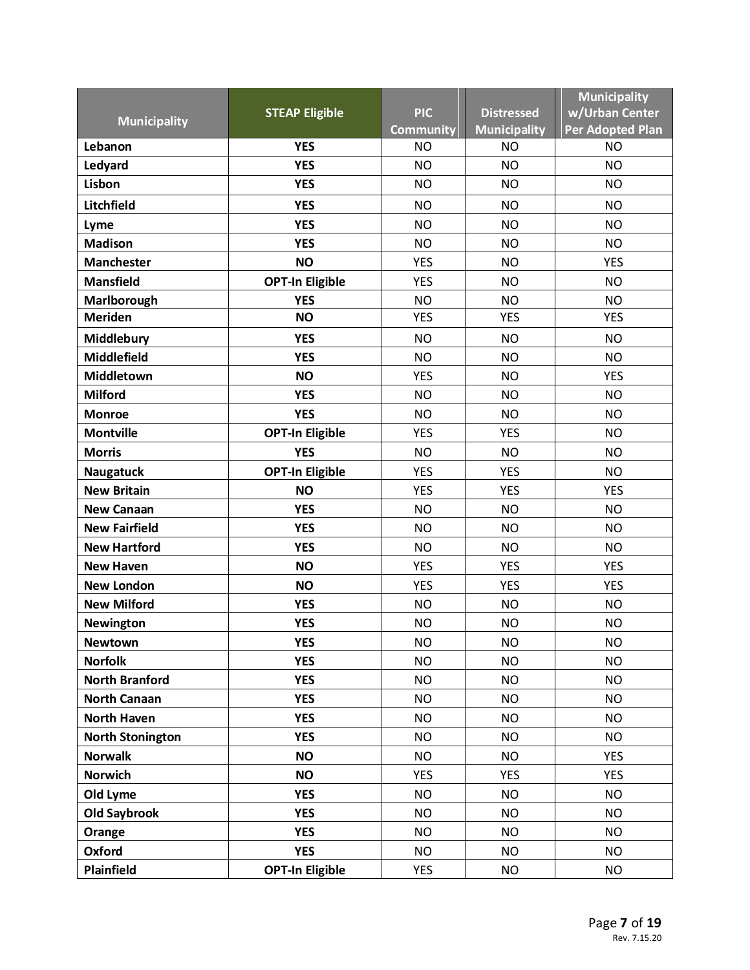|                         |                        |                  |                     | <b>Municipality</b> |
|-------------------------|------------------------|------------------|---------------------|---------------------|
| <b>Municipality</b>     | <b>STEAP Eligible</b>  | <b>PIC</b>       | <b>Distressed</b>   | w/Urban Center      |
|                         |                        | <b>Community</b> | <b>Municipality</b> | Per Adopted Plan    |
| Lebanon                 | <b>YES</b>             | <b>NO</b>        | <b>NO</b>           | <b>NO</b>           |
| Ledyard                 | <b>YES</b>             | <b>NO</b>        | <b>NO</b>           | <b>NO</b>           |
| Lisbon                  | <b>YES</b>             | <b>NO</b>        | <b>NO</b>           | <b>NO</b>           |
| Litchfield              | <b>YES</b>             | <b>NO</b>        | <b>NO</b>           | <b>NO</b>           |
| Lyme                    | <b>YES</b>             | <b>NO</b>        | <b>NO</b>           | <b>NO</b>           |
| <b>Madison</b>          | <b>YES</b>             | <b>NO</b>        | <b>NO</b>           | <b>NO</b>           |
| <b>Manchester</b>       | <b>NO</b>              | <b>YES</b>       | <b>NO</b>           | <b>YES</b>          |
| <b>Mansfield</b>        | <b>OPT-In Eligible</b> | <b>YES</b>       | <b>NO</b>           | <b>NO</b>           |
| Marlborough             | <b>YES</b>             | <b>NO</b>        | <b>NO</b>           | <b>NO</b>           |
| <b>Meriden</b>          | <b>NO</b>              | <b>YES</b>       | <b>YES</b>          | <b>YES</b>          |
| Middlebury              | <b>YES</b>             | <b>NO</b>        | <b>NO</b>           | <b>NO</b>           |
| <b>Middlefield</b>      | <b>YES</b>             | <b>NO</b>        | <b>NO</b>           | <b>NO</b>           |
| Middletown              | <b>NO</b>              | <b>YES</b>       | <b>NO</b>           | <b>YES</b>          |
| <b>Milford</b>          | <b>YES</b>             | <b>NO</b>        | <b>NO</b>           | <b>NO</b>           |
| <b>Monroe</b>           | <b>YES</b>             | <b>NO</b>        | <b>NO</b>           | <b>NO</b>           |
| <b>Montville</b>        | <b>OPT-In Eligible</b> | <b>YES</b>       | <b>YES</b>          | <b>NO</b>           |
| <b>Morris</b>           | <b>YES</b>             | <b>NO</b>        | <b>NO</b>           | <b>NO</b>           |
| <b>Naugatuck</b>        | <b>OPT-In Eligible</b> | <b>YES</b>       | <b>YES</b>          | <b>NO</b>           |
| <b>New Britain</b>      | <b>NO</b>              | <b>YES</b>       | <b>YES</b>          | <b>YES</b>          |
| <b>New Canaan</b>       | <b>YES</b>             | <b>NO</b>        | <b>NO</b>           | <b>NO</b>           |
| <b>New Fairfield</b>    | <b>YES</b>             | <b>NO</b>        | <b>NO</b>           | <b>NO</b>           |
| <b>New Hartford</b>     | <b>YES</b>             | <b>NO</b>        | <b>NO</b>           | <b>NO</b>           |
| <b>New Haven</b>        | <b>NO</b>              | <b>YES</b>       | <b>YES</b>          | <b>YES</b>          |
| <b>New London</b>       | <b>NO</b>              | <b>YES</b>       | <b>YES</b>          | <b>YES</b>          |
| <b>New Milford</b>      | <b>YES</b>             | <b>NO</b>        | <b>NO</b>           | <b>NO</b>           |
| <b>Newington</b>        | <b>YES</b>             | <b>NO</b>        | <b>NO</b>           | <b>NO</b>           |
| <b>Newtown</b>          | <b>YES</b>             | <b>NO</b>        | <b>NO</b>           | <b>NO</b>           |
| <b>Norfolk</b>          | <b>YES</b>             | <b>NO</b>        | <b>NO</b>           | <b>NO</b>           |
| <b>North Branford</b>   | <b>YES</b>             | <b>NO</b>        | <b>NO</b>           | <b>NO</b>           |
| <b>North Canaan</b>     | <b>YES</b>             | <b>NO</b>        | <b>NO</b>           | <b>NO</b>           |
| <b>North Haven</b>      | <b>YES</b>             | <b>NO</b>        | <b>NO</b>           | <b>NO</b>           |
| <b>North Stonington</b> | <b>YES</b>             | <b>NO</b>        | <b>NO</b>           | <b>NO</b>           |
| <b>Norwalk</b>          | <b>NO</b>              | <b>NO</b>        | <b>NO</b>           | <b>YES</b>          |
| <b>Norwich</b>          | <b>NO</b>              | <b>YES</b>       | <b>YES</b>          | <b>YES</b>          |
| Old Lyme                | <b>YES</b>             | <b>NO</b>        | <b>NO</b>           | <b>NO</b>           |
| <b>Old Saybrook</b>     | <b>YES</b>             | <b>NO</b>        | <b>NO</b>           | <b>NO</b>           |
| Orange                  | <b>YES</b>             | <b>NO</b>        | <b>NO</b>           | <b>NO</b>           |
| Oxford                  | <b>YES</b>             | <b>NO</b>        | <b>NO</b>           | <b>NO</b>           |
| Plainfield              | <b>OPT-In Eligible</b> | <b>YES</b>       | <b>NO</b>           | <b>NO</b>           |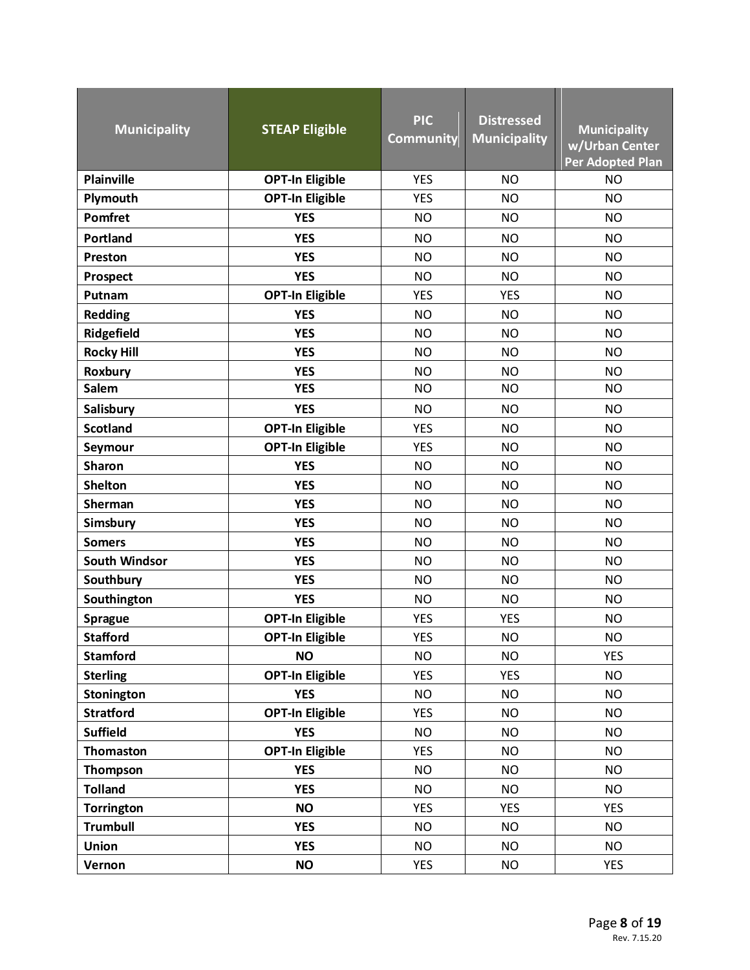| <b>Municipality</b>  | <b>STEAP Eligible</b>  | <b>PIC</b><br><b>Community</b> | <b>Distressed</b><br><b>Municipality</b> | <b>Municipality</b><br>w/Urban Center<br>Per Adopted Plan |
|----------------------|------------------------|--------------------------------|------------------------------------------|-----------------------------------------------------------|
| <b>Plainville</b>    | <b>OPT-In Eligible</b> | <b>YES</b>                     | <b>NO</b>                                | <b>NO</b>                                                 |
| Plymouth             | <b>OPT-In Eligible</b> | <b>YES</b>                     | <b>NO</b>                                | <b>NO</b>                                                 |
| <b>Pomfret</b>       | <b>YES</b>             | <b>NO</b>                      | <b>NO</b>                                | <b>NO</b>                                                 |
| Portland             | <b>YES</b>             | <b>NO</b>                      | <b>NO</b>                                | <b>NO</b>                                                 |
| Preston              | <b>YES</b>             | <b>NO</b>                      | <b>NO</b>                                | <b>NO</b>                                                 |
| Prospect             | <b>YES</b>             | <b>NO</b>                      | <b>NO</b>                                | <b>NO</b>                                                 |
| Putnam               | <b>OPT-In Eligible</b> | <b>YES</b>                     | <b>YES</b>                               | <b>NO</b>                                                 |
| <b>Redding</b>       | <b>YES</b>             | <b>NO</b>                      | <b>NO</b>                                | <b>NO</b>                                                 |
| Ridgefield           | <b>YES</b>             | <b>NO</b>                      | <b>NO</b>                                | <b>NO</b>                                                 |
| <b>Rocky Hill</b>    | <b>YES</b>             | <b>NO</b>                      | <b>NO</b>                                | <b>NO</b>                                                 |
| Roxbury              | <b>YES</b>             | <b>NO</b>                      | <b>NO</b>                                | <b>NO</b>                                                 |
| <b>Salem</b>         | <b>YES</b>             | <b>NO</b>                      | <b>NO</b>                                | <b>NO</b>                                                 |
| Salisbury            | <b>YES</b>             | <b>NO</b>                      | <b>NO</b>                                | <b>NO</b>                                                 |
| <b>Scotland</b>      | <b>OPT-In Eligible</b> | <b>YES</b>                     | <b>NO</b>                                | <b>NO</b>                                                 |
| Seymour              | <b>OPT-In Eligible</b> | <b>YES</b>                     | <b>NO</b>                                | <b>NO</b>                                                 |
| <b>Sharon</b>        | <b>YES</b>             | <b>NO</b>                      | <b>NO</b>                                | <b>NO</b>                                                 |
| <b>Shelton</b>       | <b>YES</b>             | <b>NO</b>                      | <b>NO</b>                                | <b>NO</b>                                                 |
| Sherman              | <b>YES</b>             | <b>NO</b>                      | <b>NO</b>                                | <b>NO</b>                                                 |
| Simsbury             | <b>YES</b>             | <b>NO</b>                      | <b>NO</b>                                | <b>NO</b>                                                 |
| <b>Somers</b>        | <b>YES</b>             | <b>NO</b>                      | <b>NO</b>                                | <b>NO</b>                                                 |
| <b>South Windsor</b> | <b>YES</b>             | <b>NO</b>                      | <b>NO</b>                                | <b>NO</b>                                                 |
| Southbury            | <b>YES</b>             | <b>NO</b>                      | <b>NO</b>                                | <b>NO</b>                                                 |
| Southington          | <b>YES</b>             | <b>NO</b>                      | <b>NO</b>                                | <b>NO</b>                                                 |
| <b>Sprague</b>       | <b>OPT-In Eligible</b> | <b>YES</b>                     | <b>YES</b>                               | <b>NO</b>                                                 |
| <b>Stafford</b>      | <b>OPT-In Eligible</b> | <b>YES</b>                     | <b>NO</b>                                | <b>NO</b>                                                 |
| <b>Stamford</b>      | <b>NO</b>              | <b>NO</b>                      | <b>NO</b>                                | <b>YES</b>                                                |
| <b>Sterling</b>      | <b>OPT-In Eligible</b> | <b>YES</b>                     | <b>YES</b>                               | <b>NO</b>                                                 |
| Stonington           | <b>YES</b>             | <b>NO</b>                      | <b>NO</b>                                | <b>NO</b>                                                 |
| <b>Stratford</b>     | <b>OPT-In Eligible</b> | <b>YES</b>                     | <b>NO</b>                                | <b>NO</b>                                                 |
| <b>Suffield</b>      | <b>YES</b>             | <b>NO</b>                      | <b>NO</b>                                | <b>NO</b>                                                 |
| <b>Thomaston</b>     | <b>OPT-In Eligible</b> | <b>YES</b>                     | <b>NO</b>                                | <b>NO</b>                                                 |
| Thompson             | <b>YES</b>             | <b>NO</b>                      | <b>NO</b>                                | <b>NO</b>                                                 |
| <b>Tolland</b>       | <b>YES</b>             | <b>NO</b>                      | <b>NO</b>                                | <b>NO</b>                                                 |
| <b>Torrington</b>    | <b>NO</b>              | <b>YES</b>                     | <b>YES</b>                               | <b>YES</b>                                                |
| <b>Trumbull</b>      | <b>YES</b>             | <b>NO</b>                      | <b>NO</b>                                | <b>NO</b>                                                 |
| Union                | <b>YES</b>             | <b>NO</b>                      | <b>NO</b>                                | <b>NO</b>                                                 |
| Vernon               | <b>NO</b>              | <b>YES</b>                     | <b>NO</b>                                | <b>YES</b>                                                |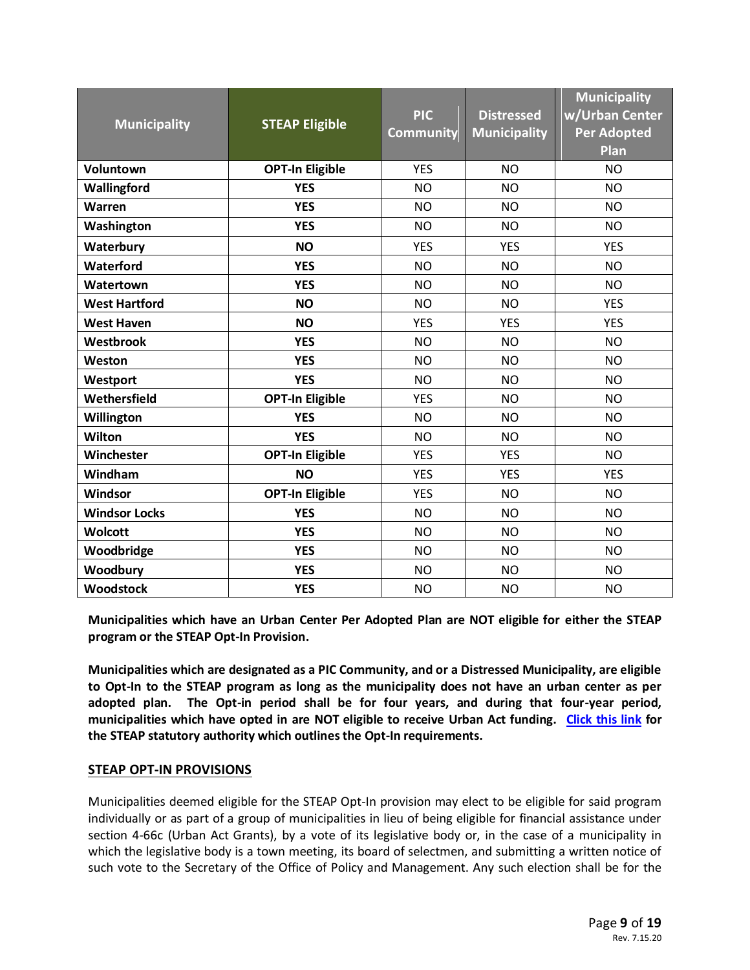| <b>Municipality</b>  | <b>STEAP Eligible</b>  | <b>PIC</b><br><b>Community</b> | <b>Municipality</b><br>w/Urban Center<br><b>Per Adopted</b><br>Plan |            |  |
|----------------------|------------------------|--------------------------------|---------------------------------------------------------------------|------------|--|
| Voluntown            | <b>OPT-In Eligible</b> | <b>YES</b>                     | <b>NO</b>                                                           | <b>NO</b>  |  |
| Wallingford          | <b>YES</b>             | <b>NO</b>                      | <b>NO</b>                                                           | <b>NO</b>  |  |
| Warren               | <b>YES</b>             | <b>NO</b>                      | <b>NO</b>                                                           | <b>NO</b>  |  |
| Washington           | <b>YES</b>             | <b>NO</b>                      | <b>NO</b>                                                           | <b>NO</b>  |  |
| Waterbury            | <b>NO</b>              | <b>YES</b>                     | <b>YES</b>                                                          | <b>YES</b> |  |
| Waterford            | <b>YES</b>             | <b>NO</b>                      | <b>NO</b>                                                           | <b>NO</b>  |  |
| Watertown            | <b>YES</b>             | <b>NO</b>                      | <b>NO</b>                                                           | <b>NO</b>  |  |
| <b>West Hartford</b> | <b>NO</b>              | <b>NO</b>                      | <b>NO</b>                                                           | <b>YES</b> |  |
| <b>West Haven</b>    | <b>NO</b>              | <b>YES</b>                     | <b>YES</b>                                                          | <b>YES</b> |  |
| Westbrook            | <b>YES</b>             | <b>NO</b>                      | <b>NO</b>                                                           | <b>NO</b>  |  |
| Weston               | <b>YES</b>             | <b>NO</b>                      | <b>NO</b>                                                           | <b>NO</b>  |  |
| Westport             | <b>YES</b>             | <b>NO</b>                      | <b>NO</b>                                                           | <b>NO</b>  |  |
| Wethersfield         | <b>OPT-In Eligible</b> | <b>YES</b>                     | <b>NO</b>                                                           | <b>NO</b>  |  |
| Willington           | <b>YES</b>             | <b>NO</b>                      | <b>NO</b>                                                           | <b>NO</b>  |  |
| Wilton               | <b>YES</b>             | <b>NO</b>                      | <b>NO</b>                                                           | <b>NO</b>  |  |
| Winchester           | <b>OPT-In Eligible</b> | <b>YES</b>                     | <b>YES</b>                                                          | <b>NO</b>  |  |
| Windham              | <b>NO</b>              | <b>YES</b>                     | <b>YES</b>                                                          | <b>YES</b> |  |
| Windsor              | <b>OPT-In Eligible</b> | <b>YES</b>                     | <b>NO</b>                                                           | <b>NO</b>  |  |
| <b>Windsor Locks</b> | <b>YES</b>             | <b>NO</b>                      | <b>NO</b>                                                           | <b>NO</b>  |  |
| Wolcott              | <b>YES</b>             | <b>NO</b>                      | <b>NO</b>                                                           | <b>NO</b>  |  |
| Woodbridge           | <b>YES</b>             | <b>NO</b>                      | <b>NO</b>                                                           | <b>NO</b>  |  |
| Woodbury             | <b>YES</b>             | <b>NO</b>                      | <b>NO</b>                                                           | <b>NO</b>  |  |
| <b>Woodstock</b>     | <b>YES</b>             | <b>NO</b>                      | <b>NO</b>                                                           | <b>NO</b>  |  |

**Municipalities which have an Urban Center Per Adopted Plan are NOT eligible for either the STEAP program or the STEAP Opt-In Provision.**

**Municipalities which are designated as a PIC Community, and or a Distressed Municipality, are eligible to Opt-In to the STEAP program as long as the municipality does not have an urban center as per adopted plan. The Opt-in period shall be for four years, and during that four-year period, municipalities which have opted in are NOT eligible to receive Urban Act funding. [Click this link](https://cga.ct.gov/current/pub/chap_050.htm#sec_4-66g) for the STEAP statutory authority which outlines the Opt-In requirements.**

#### **STEAP OPT-IN PROVISIONS**

Municipalities deemed eligible for the STEAP Opt-In provision may elect to be eligible for said program individually or as part of a group of municipalities in lieu of being eligible for financial assistance under section 4-66c (Urban Act Grants), by a vote of its legislative body or, in the case of a municipality in which the legislative body is a town meeting, its board of selectmen, and submitting a written notice of such vote to the Secretary of the Office of Policy and Management. Any such election shall be for the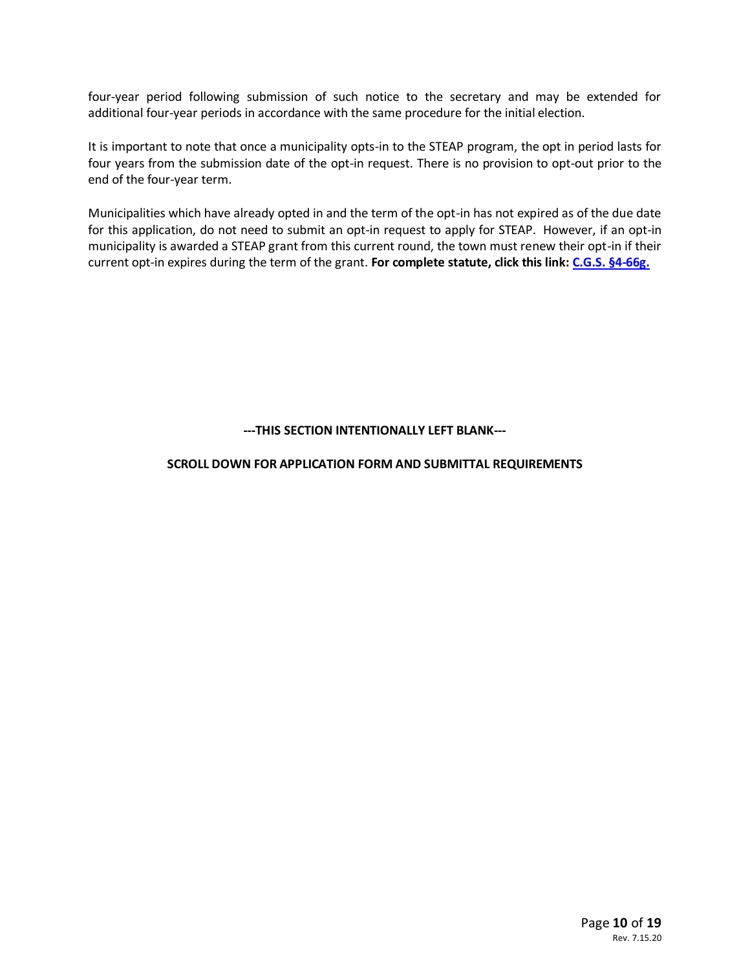four-year period following submission of such notice to the secretary and may be extended for additional four-year periods in accordance with the same procedure for the initial election.

It is important to note that once a municipality opts-in to the STEAP program, the opt in period lasts for four years from the submission date of the opt-in request. There is no provision to opt-out prior to the end of the four-year term.

Municipalities which have already opted in and the term of the opt-in has not expired as of the due date for this application, do not need to submit an opt-in request to apply for STEAP. However, if an opt-in municipality is awarded a STEAP grant from this current round, the town must renew their opt-in if their current opt-in expires during the term of the grant. **For complete statute, click this link: [C.G.S. §4-66g.](https://cga.ct.gov/current/pub/chap_050.htm#sec_4-66g)**

#### **---THIS SECTION INTENTIONALLY LEFT BLANK---**

#### **SCROLL DOWN FOR APPLICATION FORM AND SUBMITTAL REQUIREMENTS**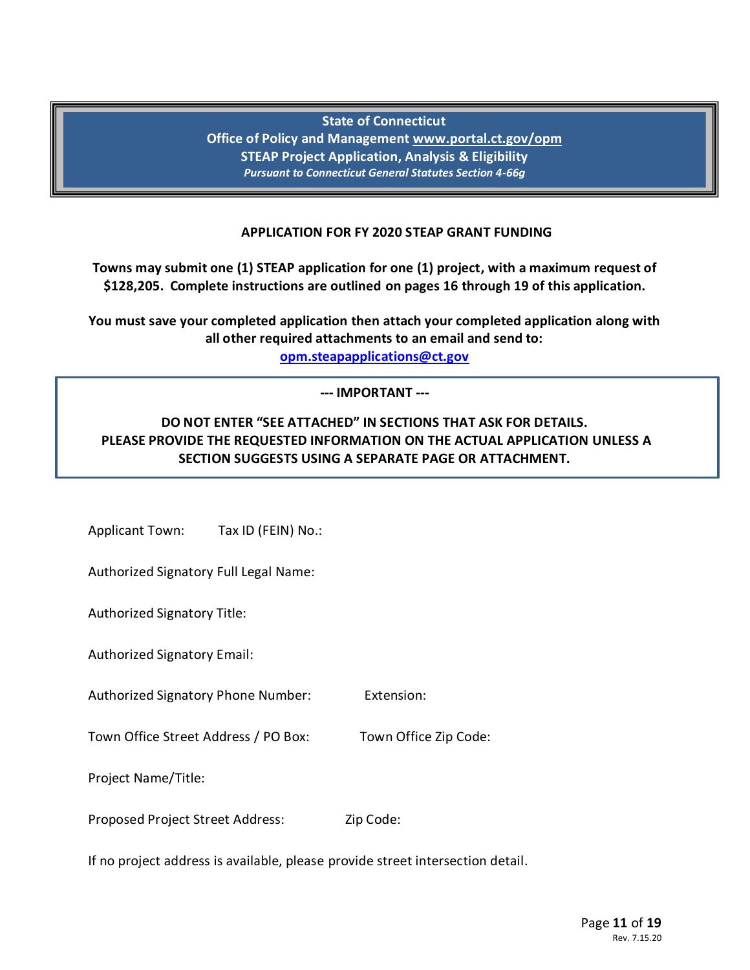# **State of Connecticut**

**Office of Policy and Management [www.portal.ct.gov/opm](file://OPM-FS102/secfiles/000%20Kathy%20T/00%20STEAP/0%20STEAP/2019%20STEAP/www.portal.ct.gov/opm) STEAP Project Application, Analysis & Eligibility** *Pursuant to Connecticut General Statutes Section 4-66g*

### **APPLICATION FOR FY 2020 STEAP GRANT FUNDING**

**Towns may submit one (1) STEAP application for one (1) project, with a maximum request of \$128,205. Complete instructions are outlined on pages 16 through 19 of this application.**

**You must save your completed application then attach your completed application along with all other required attachments to an email and send to:**

**[opm.steapapplications@ct.gov](mailto:opm.steapapplications@ct.gov)**

### **--- IMPORTANT ---**

# **DO NOT ENTER "SEE ATTACHED" IN SECTIONS THAT ASK FOR DETAILS. PLEASE PROVIDE THE REQUESTED INFORMATION ON THE ACTUAL APPLICATION UNLESS A SECTION SUGGESTS USING A SEPARATE PAGE OR ATTACHMENT.**

Applicant Town:Tax ID (FEIN) No.:

Authorized Signatory Full Legal Name:

Authorized Signatory Title:

Authorized Signatory Email:

Authorized Signatory Phone Number: Extension:

Town Office Street Address / PO Box: Town Office Zip Code:

Project Name/Title:

Proposed Project Street Address: Zip Code:

If no project address is available, please provide street intersection detail.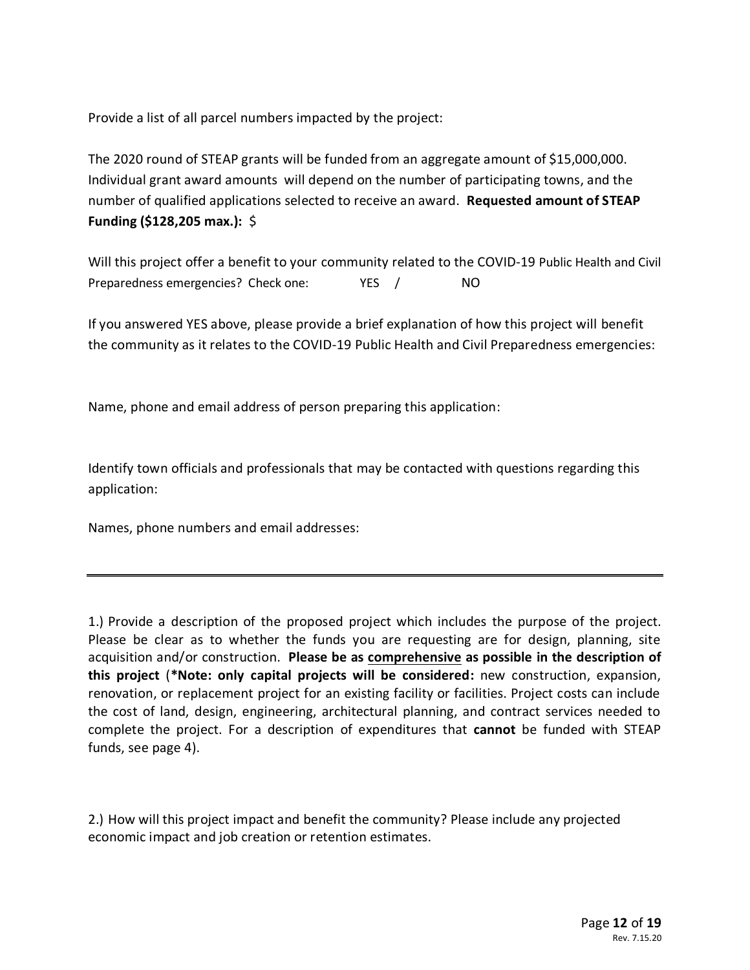Provide a list of all parcel numbers impacted by the project:

The 2020 round of STEAP grants will be funded from an aggregate amount of \$15,000,000. Individual grant award amounts will depend on the number of participating towns, and the number of qualified applications selected to receive an award. **Requested amount of STEAP Funding (\$128,205 max.):** \$

Will this project offer a benefit to your community related to the COVID-19 Public Health and Civil Preparedness emergencies? Check one: YES / NO

If you answered YES above, please provide a brief explanation of how this project will benefit the community as it relates to the COVID-19 Public Health and Civil Preparedness emergencies:

Name, phone and email address of person preparing this application:

Identify town officials and professionals that may be contacted with questions regarding this application:

Names, phone numbers and email addresses:

1.) Provide a description of the proposed project which includes the purpose of the project. Please be clear as to whether the funds you are requesting are for design, planning, site acquisition and/or construction. **Please be as comprehensive as possible in the description of this project** (**\*Note: only capital projects will be considered:** new construction, expansion, renovation, or replacement project for an existing facility or facilities. Project costs can include the cost of land, design, engineering, architectural planning, and contract services needed to complete the project. For a description of expenditures that **cannot** be funded with STEAP funds, see page 4).

2.) How will this project impact and benefit the community? Please include any projected economic impact and job creation or retention estimates.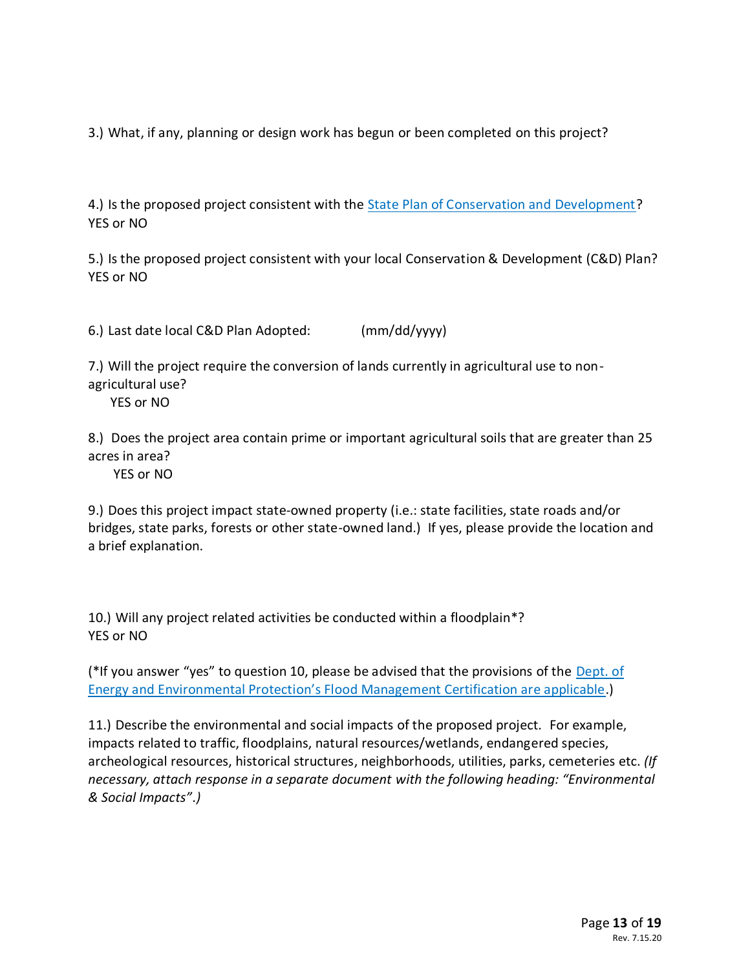3.) What, if any, planning or design work has begun or been completed on this project?

4.) Is the proposed project consistent with the **State Plan of Conservation and Development?** YES or NO

5.) Is the proposed project consistent with your local Conservation & Development (C&D) Plan? YES or NO

6.) Last date local C&D Plan Adopted: (mm/dd/yyyy)

7.) Will the project require the conversion of lands currently in agricultural use to nonagricultural use?

YES or NO

8.) Does the project area contain prime or important agricultural soils that are greater than 25 acres in area?

YES or NO

9.) Does this project impact state-owned property (i.e.: state facilities, state roads and/or bridges, state parks, forests or other state-owned land.) If yes, please provide the location and a brief explanation.

10.) Will any project related activities be conducted within a floodplain\*? YES or NO

(\*If you answer "yes" to question 10, please be advised that the provisions of the [Dept. of](https://www.ct.gov/deep/cwp/view.asp?a=2709&q=324172)  Energy and Environmental Protect[ion's Flood Management Certification are applicable](https://www.ct.gov/deep/cwp/view.asp?a=2709&q=324172).)

11.) Describe the environmental and social impacts of the proposed project. For example, impacts related to traffic, floodplains, natural resources/wetlands, endangered species, archeological resources, historical structures, neighborhoods, utilities, parks, cemeteries etc. *(If necessary, attach response in a separate document with the following heading: "Environmental & Social Impacts".)*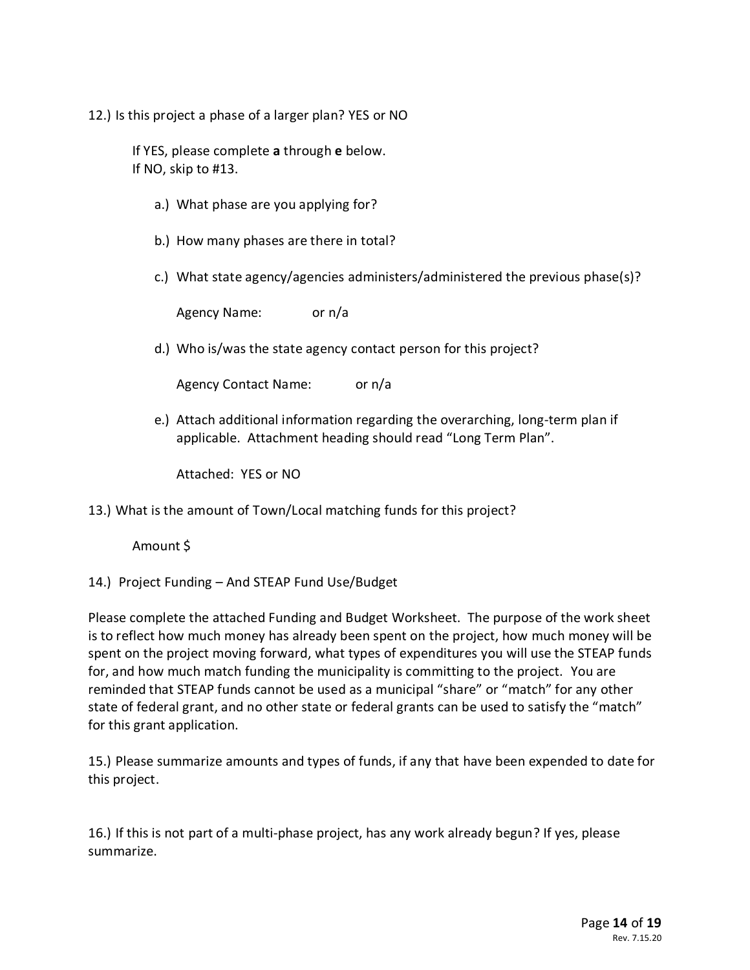12.) Is this project a phase of a larger plan? YES or NO

If YES, please complete **a** through **e** below. If NO, skip to #13.

- a.) What phase are you applying for?
- b.) How many phases are there in total?
- c.) What state agency/agencies administers/administered the previous phase(s)?

Agency Name: or n/a

d.) Who is/was the state agency contact person for this project?

Agency Contact Name: or n/a

e.) Attach additional information regarding the overarching, long-term plan if applicable. Attachment heading should read "Long Term Plan".

Attached: YES or NO

13.) What is the amount of Town/Local matching funds for this project?

Amount \$

14.) Project Funding – And STEAP Fund Use/Budget

Please complete the attached Funding and Budget Worksheet. The purpose of the work sheet is to reflect how much money has already been spent on the project, how much money will be spent on the project moving forward, what types of expenditures you will use the STEAP funds for, and how much match funding the municipality is committing to the project. You are reminded that STEAP funds cannot be used as a municipal "share" or "match" for any other state of federal grant, and no other state or federal grants can be used to satisfy the "match" for this grant application.

15.) Please summarize amounts and types of funds, if any that have been expended to date for this project.

16.) If this is not part of a multi-phase project, has any work already begun? If yes, please summarize.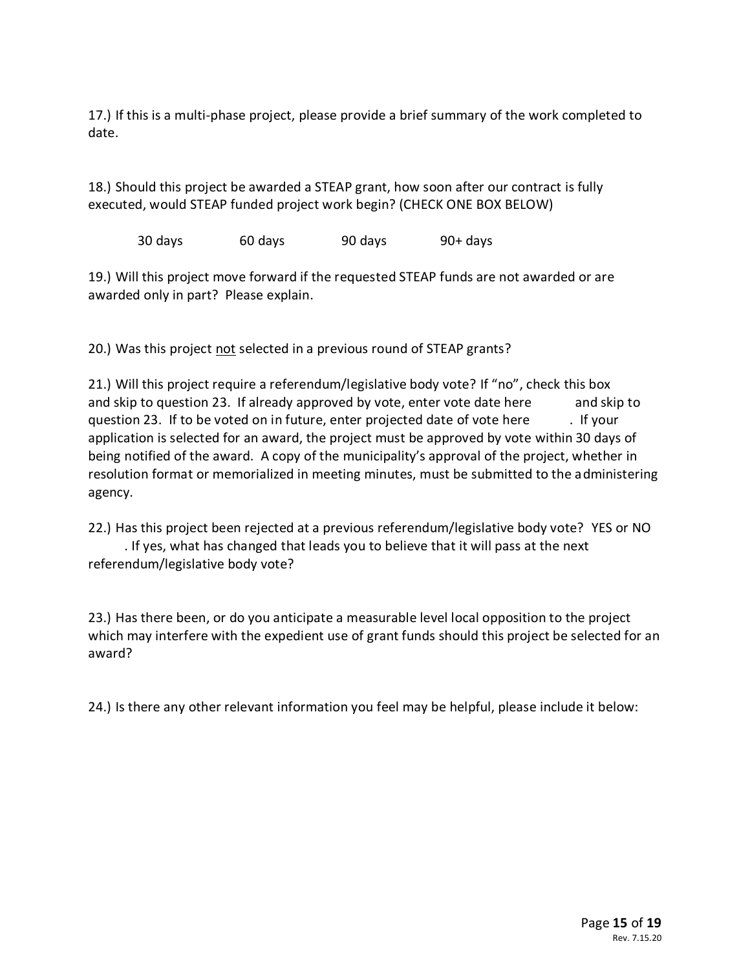17.) If this is a multi-phase project, please provide a brief summary of the work completed to date.

18.) Should this project be awarded a STEAP grant, how soon after our contract is fully executed, would STEAP funded project work begin? (CHECK ONE BOX BELOW)

30 days 60 days 90 days 90+ days

19.) Will this project move forward if the requested STEAP funds are not awarded or are awarded only in part? Please explain.

20.) Was this project not selected in a previous round of STEAP grants?

21.) Will this project require a referendum/legislative body vote? If "no", check this box and skip to question 23. If already approved by vote, enter vote date here and skip to question 23. If to be voted on in future, enter projected date of vote here . If your application is selected for an award, the project must be approved by vote within 30 days of being notified of the award. A copy of the municipality's approval of the project, whether in resolution format or memorialized in meeting minutes, must be submitted to the administering agency.

22.) Has this project been rejected at a previous referendum/legislative body vote? YES or NO . If yes, what has changed that leads you to believe that it will pass at the next referendum/legislative body vote?

23.) Has there been, or do you anticipate a measurable level local opposition to the project which may interfere with the expedient use of grant funds should this project be selected for an award?

24.) Is there any other relevant information you feel may be helpful, please include it below: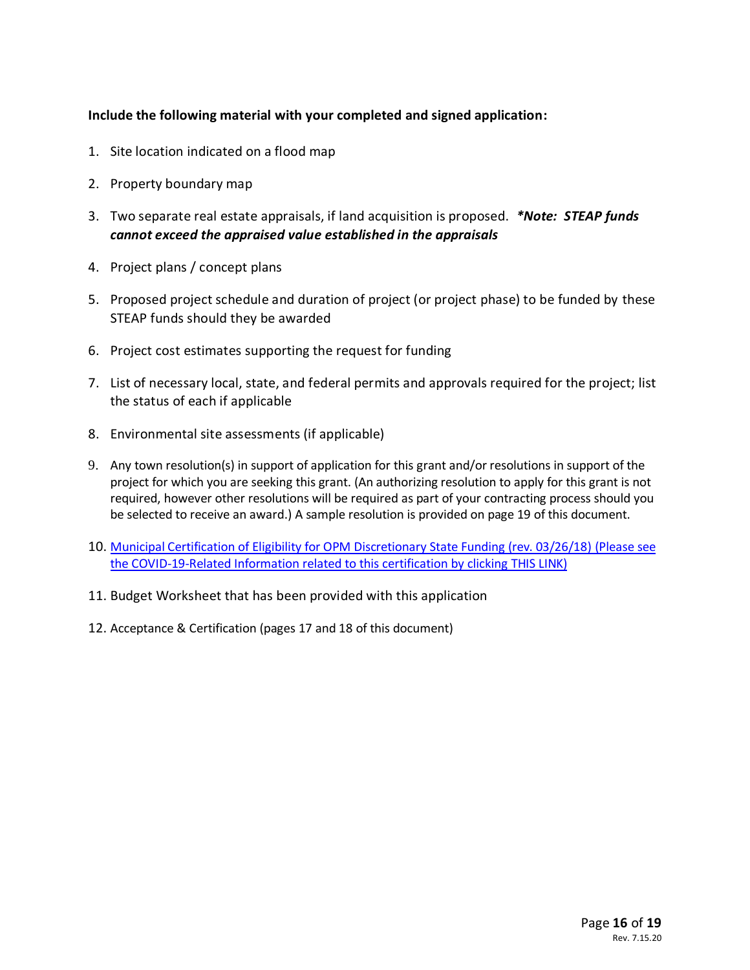### **Include the following material with your completed and signed application:**

- 1. Site location indicated on a flood map
- 2. Property boundary map
- 3. Two separate real estate appraisals, if land acquisition is proposed. *\*Note: STEAP funds cannot exceed the appraised value established in the appraisals*
- 4. Project plans / concept plans
- 5. Proposed project schedule and duration of project (or project phase) to be funded by these STEAP funds should they be awarded
- 6. Project cost estimates supporting the request for funding
- 7. List of necessary local, state, and federal permits and approvals required for the project; list the status of each if applicable
- 8. Environmental site assessments (if applicable)
- 9. Any town resolution(s) in support of application for this grant and/or resolutions in support of the project for which you are seeking this grant. (An authorizing resolution to apply for this grant is not required, however other resolutions will be required as part of your contracting process should you be selected to receive an award.) A sample resolution is provided on page 19 of this document.
- 10. [Municipal Certification of Eligibility for OPM Discretionary State Funding \(rev. 03/26/18\)](https://portal.ct.gov/-/media/OPM/Admin/FORMS/municipalcertificationofeligibilityfordiscretionarystatefundingrevdocx.docx?la=en) (Please see the COVID-19-Related Information related to this certification by clicking [THIS LINK\)](https://portal.ct.gov/OPM/IGPP-MAIN/Responsible-Growth/Conservation-and-Development-Policies-Plan/Municipal-Plans-of-Conservation-and-Development)
- 11. Budget Worksheet that has been provided with this application
- 12. Acceptance & Certification (pages 17 and 18 of this document)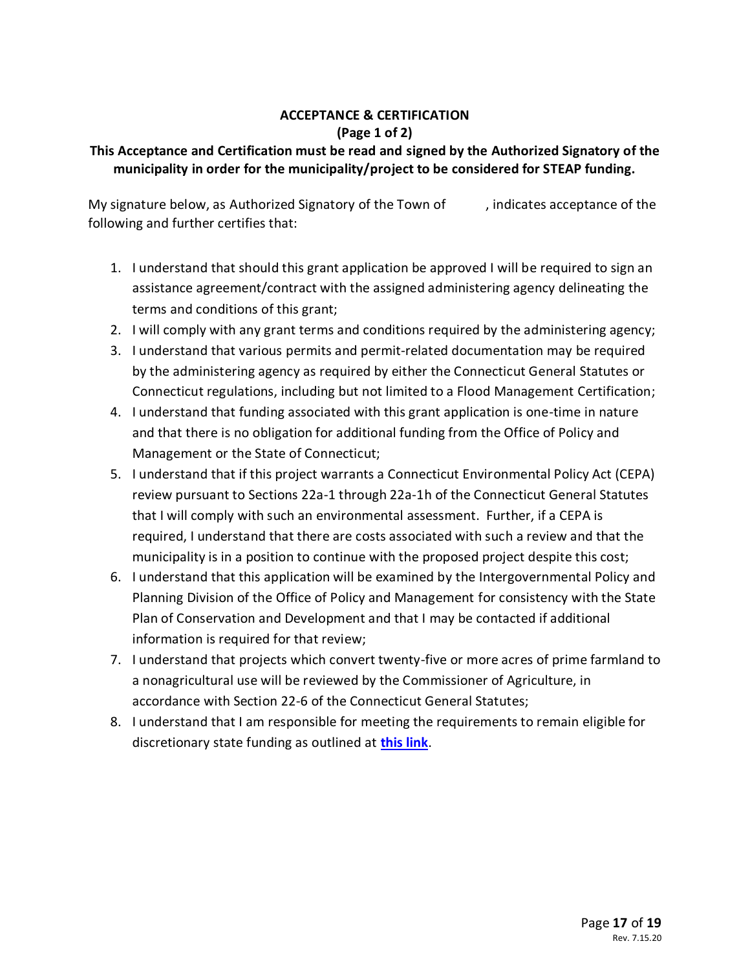# **ACCEPTANCE & CERTIFICATION (Page 1 of 2)**

# **This Acceptance and Certification must be read and signed by the Authorized Signatory of the municipality in order for the municipality/project to be considered for STEAP funding.**

My signature below, as Authorized Signatory of the Town of , indicates acceptance of the following and further certifies that:

- 1. I understand that should this grant application be approved I will be required to sign an assistance agreement/contract with the assigned administering agency delineating the terms and conditions of this grant;
- 2. I will comply with any grant terms and conditions required by the administering agency;
- 3. I understand that various permits and permit-related documentation may be required by the administering agency as required by either the Connecticut General Statutes or Connecticut regulations, including but not limited to a Flood Management Certification;
- 4. I understand that funding associated with this grant application is one-time in nature and that there is no obligation for additional funding from the Office of Policy and Management or the State of Connecticut;
- 5. I understand that if this project warrants a Connecticut Environmental Policy Act (CEPA) review pursuant to Sections 22a-1 through 22a-1h of the Connecticut General Statutes that I will comply with such an environmental assessment. Further, if a CEPA is required, I understand that there are costs associated with such a review and that the municipality is in a position to continue with the proposed project despite this cost;
- 6. I understand that this application will be examined by the Intergovernmental Policy and Planning Division of the Office of Policy and Management for consistency with the State Plan of Conservation and Development and that I may be contacted if additional information is required for that review;
- 7. I understand that projects which convert twenty-five or more acres of prime farmland to a nonagricultural use will be reviewed by the Commissioner of Agriculture, in accordance with Section 22-6 of the Connecticut General Statutes;
- 8. I understand that I am responsible for meeting the requirements to remain eligible for discretionary state funding as outlined at **[this link](https://portal.ct.gov/OPM/IGPP-MAIN/Responsible-Growth/Conservation-and-Development-Policies-Plan/Municipal-Plans-of-Conservation-and-Development)**.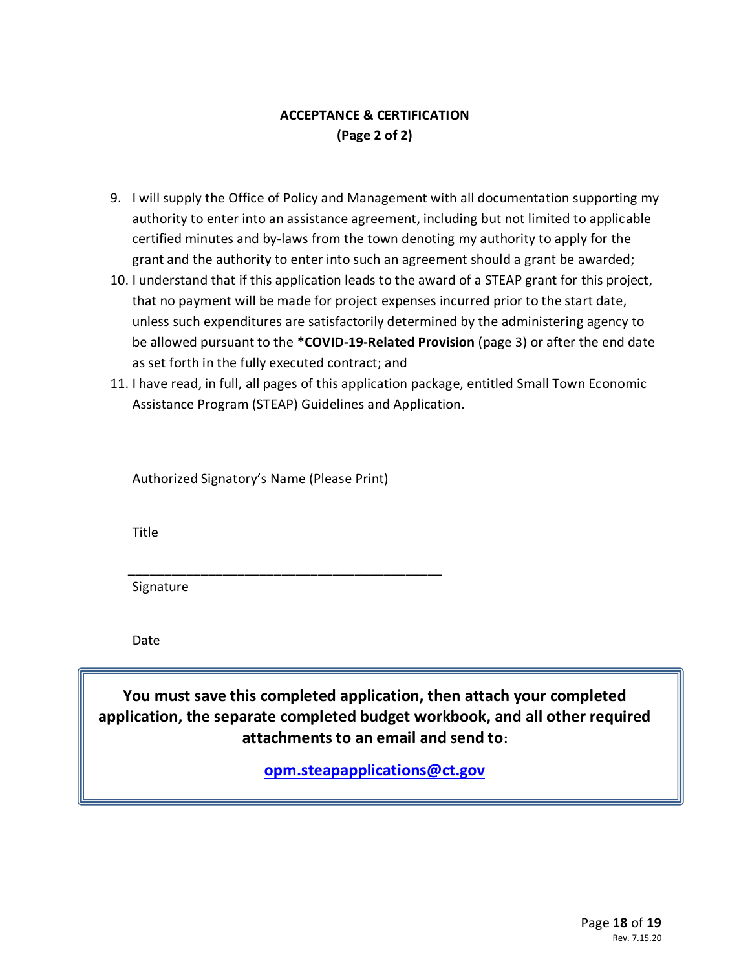# **ACCEPTANCE & CERTIFICATION (Page 2 of 2)**

- 9. I will supply the Office of Policy and Management with all documentation supporting my authority to enter into an assistance agreement, including but not limited to applicable certified minutes and by-laws from the town denoting my authority to apply for the grant and the authority to enter into such an agreement should a grant be awarded;
- 10. I understand that if this application leads to the award of a STEAP grant for this project, that no payment will be made for project expenses incurred prior to the start date, unless such expenditures are satisfactorily determined by the administering agency to be allowed pursuant to the **\*COVID-19-Related Provision** (page 3) or after the end date as set forth in the fully executed contract; and
- 11. I have read, in full, all pages of this application package, entitled Small Town Economic Assistance Program (STEAP) Guidelines and Application.

Authorized Signatory's Name (Please Print)

\_\_\_\_\_\_\_\_\_\_\_\_\_\_\_\_\_\_\_\_\_\_\_\_\_\_\_\_\_\_\_\_\_\_\_\_\_\_\_\_\_\_\_

Title

Signature

Date

**You must save this completed application, then attach your completed application, the separate completed budget workbook, and all other required attachments to an email and send to:**

**[opm.steapapplications@ct.gov](mailto:opm.steapapplications@ct.gov)**